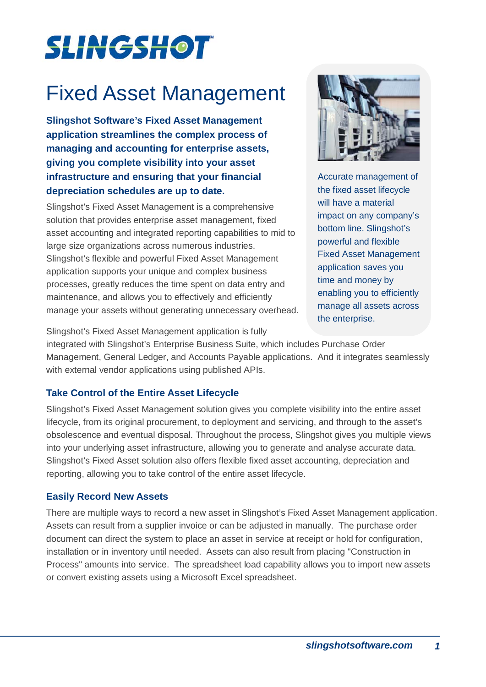# **SLINGSHOT**

# Fixed Asset Management

**Slingshot Software's Fixed Asset Management application streamlines the complex process of managing and accounting for enterprise assets, giving you complete visibility into your asset infrastructure and ensuring that your financial depreciation schedules are up to date.**

Slingshot's Fixed Asset Management is a comprehensive solution that provides enterprise asset management, fixed asset accounting and integrated reporting capabilities to mid to large size organizations across numerous industries. Slingshot's flexible and powerful Fixed Asset Management application supports your unique and complex business processes, greatly reduces the time spent on data entry and maintenance, and allows you to effectively and efficiently manage your assets without generating unnecessary overhead.



Accurate management of the fixed asset lifecycle will have a material impact on any company's bottom line. Slingshot's powerful and flexible Fixed Asset Management application saves you time and money by enabling you to efficiently manage all assets across the enterprise.

Slingshot's Fixed Asset Management application is fully

integrated with Slingshot's Enterprise Business Suite, which includes Purchase Order Management, General Ledger, and Accounts Payable applications. And it integrates seamlessly with external vendor applications using published APIs.

# **Take Control of the Entire Asset Lifecycle**

Slingshot's Fixed Asset Management solution gives you complete visibility into the entire asset lifecycle, from its original procurement, to deployment and servicing, and through to the asset's obsolescence and eventual disposal. Throughout the process, Slingshot gives you multiple views into your underlying asset infrastructure, allowing you to generate and analyse accurate data. Slingshot's Fixed Asset solution also offers flexible fixed asset accounting, depreciation and reporting, allowing you to take control of the entire asset lifecycle.

# **Easily Record New Assets**

There are multiple ways to record a new asset in Slingshot's Fixed Asset Management application. Assets can result from a supplier invoice or can be adjusted in manually. The purchase order document can direct the system to place an asset in service at receipt or hold for configuration, installation or in inventory until needed. Assets can also result from placing "Construction in Process" amounts into service. The spreadsheet load capability allows you to import new assets or convert existing assets using a Microsoft Excel spreadsheet.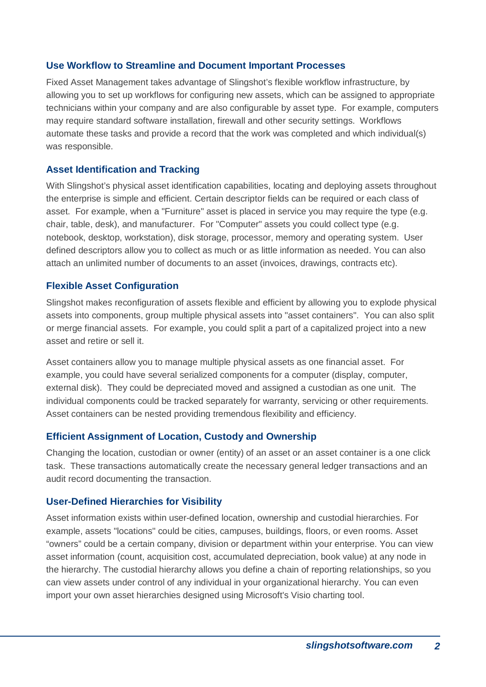# **Use Workflow to Streamline and Document Important Processes**

Fixed Asset Management takes advantage of Slingshot's flexible workflow infrastructure, by allowing you to set up workflows for configuring new assets, which can be assigned to appropriate technicians within your company and are also configurable by asset type. For example, computers may require standard software installation, firewall and other security settings. Workflows automate these tasks and provide a record that the work was completed and which individual(s) was responsible.

#### **Asset Identification and Tracking**

With Slingshot's physical asset identification capabilities, locating and deploying assets throughout the enterprise is simple and efficient. Certain descriptor fields can be required or each class of asset. For example, when a "Furniture" asset is placed in service you may require the type (e.g. chair, table, desk), and manufacturer. For "Computer" assets you could collect type (e.g. notebook, desktop, workstation), disk storage, processor, memory and operating system. User defined descriptors allow you to collect as much or as little information as needed. You can also attach an unlimited number of documents to an asset (invoices, drawings, contracts etc).

### **Flexible Asset Configuration**

Slingshot makes reconfiguration of assets flexible and efficient by allowing you to explode physical assets into components, group multiple physical assets into "asset containers". You can also split or merge financial assets. For example, you could split a part of a capitalized project into a new asset and retire or sell it.

Asset containers allow you to manage multiple physical assets as one financial asset. For example, you could have several serialized components for a computer (display, computer, external disk). They could be depreciated moved and assigned a custodian as one unit. The individual components could be tracked separately for warranty, servicing or other requirements. Asset containers can be nested providing tremendous flexibility and efficiency.

# **Efficient Assignment of Location, Custody and Ownership**

Changing the location, custodian or owner (entity) of an asset or an asset container is a one click task. These transactions automatically create the necessary general ledger transactions and an audit record documenting the transaction.

#### **User-Defined Hierarchies for Visibility**

Asset information exists within user-defined location, ownership and custodial hierarchies. For example, assets "locations" could be cities, campuses, buildings, floors, or even rooms. Asset "owners" could be a certain company, division or department within your enterprise. You can view asset information (count, acquisition cost, accumulated depreciation, book value) at any node in the hierarchy. The custodial hierarchy allows you define a chain of reporting relationships, so you can view assets under control of any individual in your organizational hierarchy. You can even import your own asset hierarchies designed using Microsoft's Visio charting tool.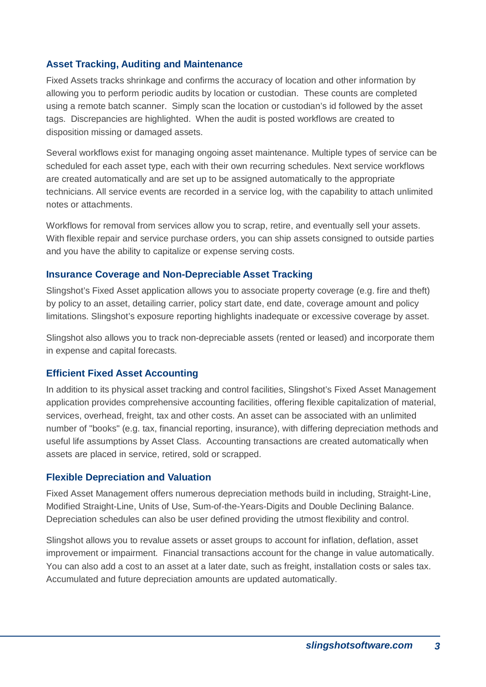## **Asset Tracking, Auditing and Maintenance**

Fixed Assets tracks shrinkage and confirms the accuracy of location and other information by allowing you to perform periodic audits by location or custodian. These counts are completed using a remote batch scanner. Simply scan the location or custodian's id followed by the asset tags. Discrepancies are highlighted. When the audit is posted workflows are created to disposition missing or damaged assets.

Several workflows exist for managing ongoing asset maintenance. Multiple types of service can be scheduled for each asset type, each with their own recurring schedules. Next service workflows are created automatically and are set up to be assigned automatically to the appropriate technicians. All service events are recorded in a service log, with the capability to attach unlimited notes or attachments.

Workflows for removal from services allow you to scrap, retire, and eventually sell your assets. With flexible repair and service purchase orders, you can ship assets consigned to outside parties and you have the ability to capitalize or expense serving costs.

#### **Insurance Coverage and Non-Depreciable Asset Tracking**

Slingshot's Fixed Asset application allows you to associate property coverage (e.g. fire and theft) by policy to an asset, detailing carrier, policy start date, end date, coverage amount and policy limitations. Slingshot's exposure reporting highlights inadequate or excessive coverage by asset.

Slingshot also allows you to track non-depreciable assets (rented or leased) and incorporate them in expense and capital forecasts.

#### **Efficient Fixed Asset Accounting**

In addition to its physical asset tracking and control facilities, Slingshot's Fixed Asset Management application provides comprehensive accounting facilities, offering flexible capitalization of material, services, overhead, freight, tax and other costs. An asset can be associated with an unlimited number of "books" (e.g. tax, financial reporting, insurance), with differing depreciation methods and useful life assumptions by Asset Class. Accounting transactions are created automatically when assets are placed in service, retired, sold or scrapped.

#### **Flexible Depreciation and Valuation**

Fixed Asset Management offers numerous depreciation methods build in including, Straight-Line, Modified Straight-Line, Units of Use, Sum-of-the-Years-Digits and Double Declining Balance. Depreciation schedules can also be user defined providing the utmost flexibility and control.

Slingshot allows you to revalue assets or asset groups to account for inflation, deflation, asset improvement or impairment. Financial transactions account for the change in value automatically. You can also add a cost to an asset at a later date, such as freight, installation costs or sales tax. Accumulated and future depreciation amounts are updated automatically.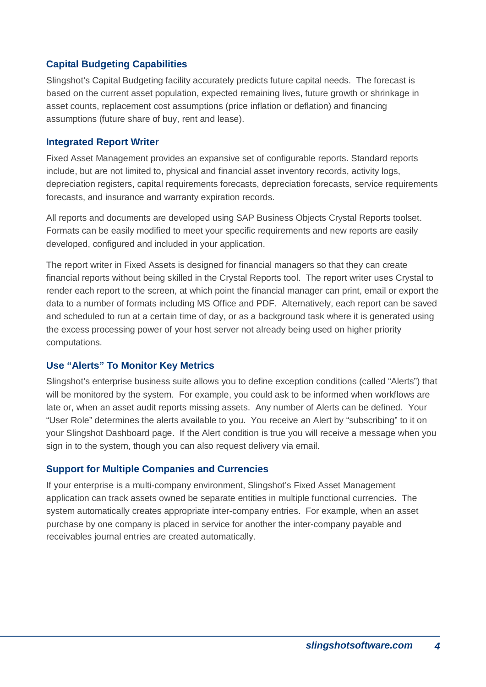# **Capital Budgeting Capabilities**

Slingshot's Capital Budgeting facility accurately predicts future capital needs. The forecast is based on the current asset population, expected remaining lives, future growth or shrinkage in asset counts, replacement cost assumptions (price inflation or deflation) and financing assumptions (future share of buy, rent and lease).

# **Integrated Report Writer**

Fixed Asset Management provides an expansive set of configurable reports. Standard reports include, but are not limited to, physical and financial asset inventory records, activity logs, depreciation registers, capital requirements forecasts, depreciation forecasts, service requirements forecasts, and insurance and warranty expiration records.

All reports and documents are developed using SAP Business Objects Crystal Reports toolset. Formats can be easily modified to meet your specific requirements and new reports are easily developed, configured and included in your application.

The report writer in Fixed Assets is designed for financial managers so that they can create financial reports without being skilled in the Crystal Reports tool. The report writer uses Crystal to render each report to the screen, at which point the financial manager can print, email or export the data to a number of formats including MS Office and PDF. Alternatively, each report can be saved and scheduled to run at a certain time of day, or as a background task where it is generated using the excess processing power of your host server not already being used on higher priority computations.

# **Use "Alerts" To Monitor Key Metrics**

Slingshot's enterprise business suite allows you to define exception conditions (called "Alerts") that will be monitored by the system. For example, you could ask to be informed when workflows are late or, when an asset audit reports missing assets. Any number of Alerts can be defined. Your "User Role" determines the alerts available to you. You receive an Alert by "subscribing" to it on your Slingshot Dashboard page. If the Alert condition is true you will receive a message when you sign in to the system, though you can also request delivery via email.

#### **Support for Multiple Companies and Currencies**

If your enterprise is a multi-company environment, Slingshot's Fixed Asset Management application can track assets owned be separate entities in multiple functional currencies. The system automatically creates appropriate inter-company entries. For example, when an asset purchase by one company is placed in service for another the inter-company payable and receivables journal entries are created automatically.